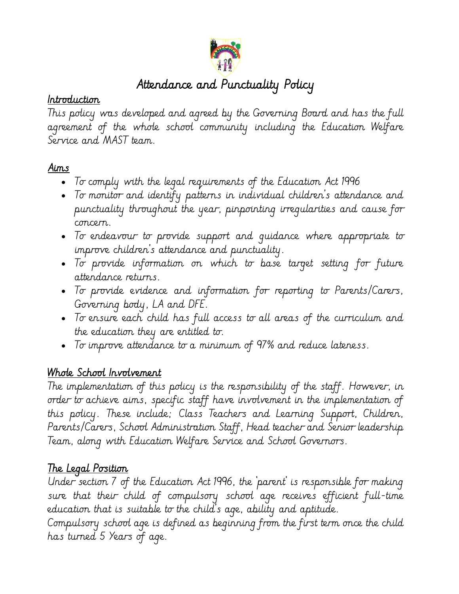

#### i<br>L Attendance and Punctuality Policy

#### Introduction

This policy was developed and agreed by the Governing Board and has the full agreement of the whole school community including the Education Welfare Service and MAST team.

#### Aims

- To comply with the legal requirements of the Education Act 1996
- To monitor and identify patterns in individual children's attendance and punctuality throughout the year, pinpointing irregularities and cause for concern.
- To endeavour to provide support and guidance where appropriate to improve children's attendance and punctuality.
- To provide information on which to base target setting for future attendance returns.
- To provide evidence and information for reporting to Parents/Carers, Governing body, LA and DFE.
- To ensure each child has full access to all areas of the curriculum and the education they are entitled to.
- To improve attendance to a minimum of 97% and reduce lateness.

#### Whole School Involvement

The implementation of this policy is the responsibility of the staff. However, in order to achieve aims, specific staff have involvement in the implementation of this policy. These include; Class Teachers and Learning Support, Children, Parents/Carers, School Administration Staff, Head teacher and Senior leadership Team, along with Education Welfare Service and School Governors.

### The Legal Position

Under section 7 of the Education Act 1996, the 'parent' is responsible for making sure that their child of compulsory school age receives efficient full-time education that is suitable to the child's age, ability and aptitude. Compulsory school age is defined as beginning from the first term once the child

has turned 5 Years of age.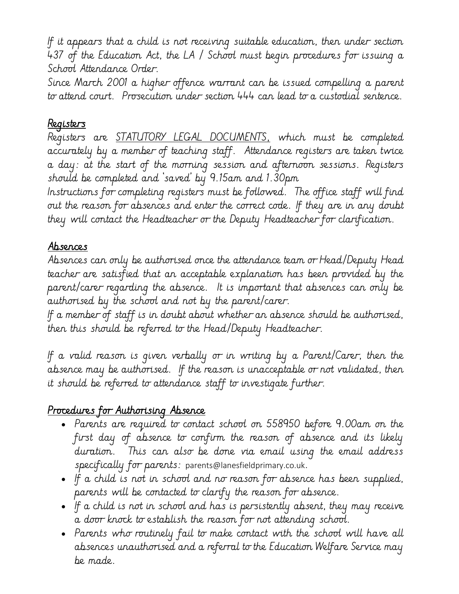If it appears that a child is not receiving suitable education, then under section 437 of the Education Act, the LA / School must begin procedures for issuing a School Attendance Order.

Since March 2001 a higher offence warrant can be issued compelling a parent to attend court. Prosecution under section 444 can lead to a custodial sentence.

### Registers

Registers are STATUTORY LEGAL DOCUMENTS, which must be completed accurately by a member of teaching staff. Attendance registers are taken twice a day: at the start of the morning session and afternoon sessions. Registers should be completed and 'saved' by 9.15am and 1.30pm

Instructions for completing registers must be followed. The office staff will find out the reason for absences and enter the correct code. If they are in any doubt they will contact the Headteacher or the Deputy Headteacher for clarification.

### Absences

Absences can only be authorised once the attendance team or Head/Deputy Head teacher are satisfied that an acceptable explanation has been provided by the parent/carer regarding the absence. It is important that absences can only be authorised by the school and not by the parent/carer.

If a member of staff is in doubt about whether an absence should be authorised, then this should be referred to the Head/Deputy Headteacher.

If a valid reason is given verbally or in writing by a Parent/Carer, then the absence may be authorised. If the reason is unacceptable or not validated, then it should be referred to attendance staff to investigate further.

# Procedures for Authorising Absence

- Parents are required to contact school on 558950 before 9.00am on the first day of absence to confirm the reason of absence and its likely duration. This can also be done via email using the email address specifically for parents: parents@lanesfieldprimary.co.uk.
- If a child is not in school and no reason for absence has been supplied, parents will be contacted to clarify the reason for absence.
- If a child is not in school and has is persistently absent, they may receive a door knock to establish the reason for not attending school.
- Parents who routinely fail to make contact with the school will have all absences unauthorised and a referral to the Education Welfare Service may be made.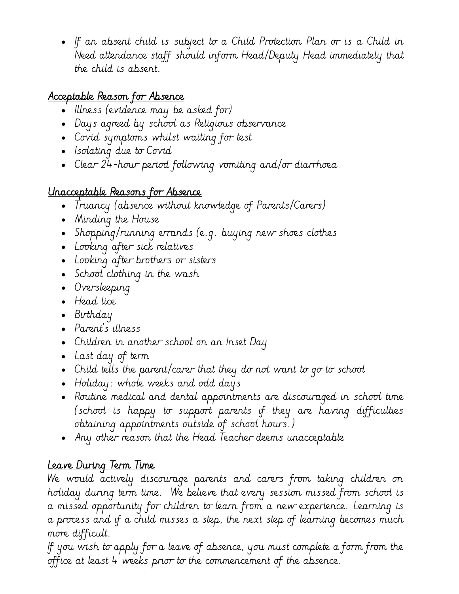• If an absent child is subject to a Child Protection Plan or is a Child in Need attendance staff should inform Head/Deputy Head immediately that the child is absent.

# Acceptable Reason for Absence

- Illness (evidence may be asked for)
- Days agreed by school as Religious observance
- Covid symptoms whilst waiting for test
- Isolating due to Covid
- Clear 24-hour period following vomiting and/or diarrhoea

# Unacceptable Reasons for Absence

- Truancy (absence without knowledge of Parents/Carers)
- Minding the House
- Shopping/running errands (e.g. buying new shoes clothes
- Looking after sick relatives
- Looking after brothers or sisters
- School clothing in the wash
- Oversleeping
- Head lice
- Birthday
- Parent's illness
- Children in another school on an Inset Day
- Last day of term
- Child tells the parent/carer that they do not want to go to school
- Holiday: whole weeks and odd days
- Routine medical and dental appointments are discouraged in school time (school is happy to support parents if they are having difficulties obtaining appointments outside of school hours.)
- Any other reason that the Head Teacher deems unacceptable

# Leave During Term Time

We would actively discourage parents and carers from taking children on holiday during term time. We believe that every session missed from school is a missed opportunity for children to learn from a new experience. Learning is a process and if a child misses a step, the next step of learning becomes much more difficult.

If you wish to apply for a leave of absence, you must complete a form from the office at least 4 weeks prior to the commencement of the absence.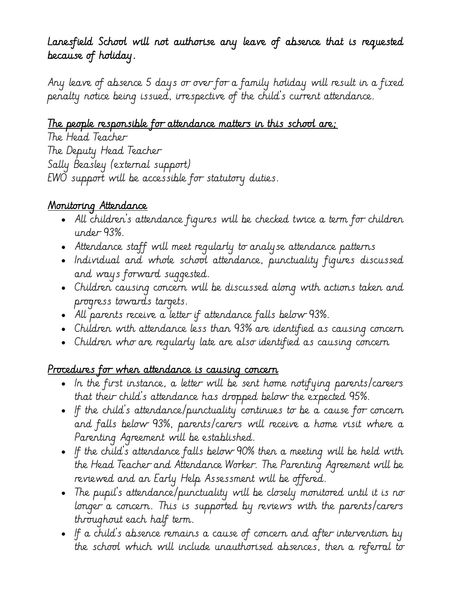### Lanesfield School will not authorise any leave of absence that is requested because of holiday.

Any leave of absence 5 days or over for a family holiday will result in a fixed penalty notice being issued, irrespective of the child's current attendance.

# The people responsible for attendance matters in this school are;

The Head Teacher The Deputy Head Teacher Sally Beasley (external support) EWO support will be accessible for statutory duties.

### Monitoring Attendance

- All children's attendance figures will be checked twice a term for children under 93%.
- Attendance staff will meet regularly to analyse attendance patterns
- Individual and whole school attendance, punctuality figures discussed and ways forward suggested.
- Children causing concern will be discussed along with actions taken and progress towards targets.
- All parents receive a letter if attendance falls below 93%.
- Children with attendance less than 93% are identified as causing concern
- Children who are regularly late are also identified as causing concern

### Procedures for when attendance is causing concern

- In the first instance, a letter will be sent home notifying parents/careers that their child's attendance has dropped below the expected 95%.
- If the child's attendance/punctuality continues to be a cause for concern and falls below 93%, parents/carers will receive a home visit where a Parenting Agreement will be established.
- If the child's attendance falls below 90% then a meeting will be held with the Head Teacher and Attendance Worker. The Parenting Agreement will be reviewed and an Early Help Assessment will be offered.
- The pupil's attendance/punctuality will be closely monitored until it is no longer a concern. This is supported by reviews with the parents/carers throughout each half term.
- If a child's absence remains a cause of concern and after intervention by the school which will include unauthorised absences, then a referral to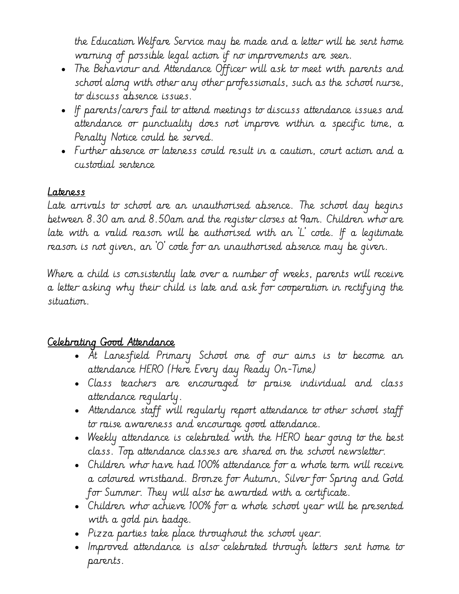the Education Welfare Service may be made and a letter will be sent home warning of possible legal action if no improvements are seen.

- The Behaviour and Attendance Officer will ask to meet with parents and school along with other any other professionals, such as the school nurse, to discuss absence issues.
- If parents/carers fail to attend meetings to discuss attendance issues and attendance or punctuality does not improve within a specific time, a Penalty Notice could be served.
- Further absence or lateness could result in a caution, court action and a custodial sentence

#### Lateness

Late arrivals to school are an unauthorised absence. The school day begins between 8.30 am and 8.50am and the register closes at 9am. Children who are late with a valid reason will be authorised with an 'L' code. If a legitimate reason is not given, an 'O' code for an unauthorised absence may be given.

Where a child is consistently late over a number of weeks, parents will receive a letter asking why their child is late and ask for cooperation in rectifying the situation.

#### Celebrating Good Attendance

- At Lanesfield Primary School one of our aims is to become an attendance HERO (Here Every day Ready On-Time)
- Class teachers are encouraged to praise individual and class attendance regularly.
- Attendance staff will regularly report attendance to other school staff to raise awareness and encourage good attendance.
- Weekly attendance is celebrated with the HERO bear going to the best class. Top attendance classes are shared on the school newsletter.
- Children who have had 100% attendance for a whole term will receive a coloured wristband. Bronze for Autumn, Silver for Spring and Gold for Summer. They will also be awarded with a certificate.
- Children who achieve 100% for a whole school year will be presented with a gold pin badge.
- Pizza parties take place throughout the school year.
- Improved attendance is also celebrated through letters sent home to parents.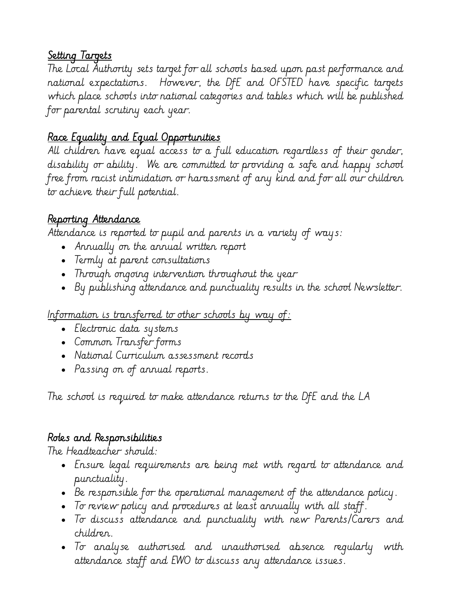### Setting Targets

The Local Authority sets target for all schools based upon past performance and national expectations. However, the DfE and OFSTED have specific targets which place schools into national categories and tables which will be published for parental scrutiny each year.

### Race Equality and Equal Opportunities

All children have equal access to a full education regardless of their gender, disability or ability. We are committed to providing a safe and happy school free from racist intimidation or harassment of any kind and for all our children to achieve their full potential.

### Reporting Attendance

Attendance is reported to pupil and parents in a variety of ways:

- Annually on the annual written report
- Termly at parent consultations
- Through ongoing intervention throughout the year
- By publishing attendance and punctuality results in the school Newsletter.

#### Information is transferred to other schools by way of:

- Electronic data systems
- Common Transfer forms
- National Curriculum assessment records
- Passing on of annual reports.

The school is required to make attendance returns to the DfE and the LA

# Roles and Responsibilities

The Headteacher should:

- Ensure legal requirements are being met with regard to attendance and punctuality.
- Be responsible for the operational management of the attendance policy.
- To review policy and procedures at least annually with all staff.
- To discuss attendance and punctuality with new Parents/Carers and children.
- To analyse authorised and unauthorised absence regularly with attendance staff and EWO to discuss any attendance issues.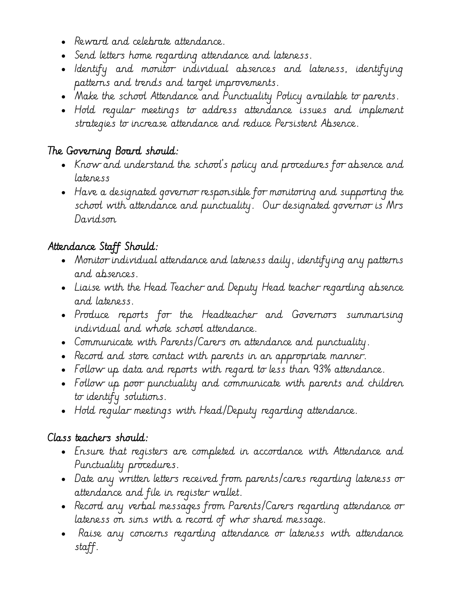- Reward and celebrate attendance.
- Send letters home regarding attendance and lateness.
- Identify and monitor individual absences and lateness, identifying patterns and trends and target improvements.
- Make the school Attendance and Punctuality Policy available to parents.
- Hold regular meetings to address attendance issues and implement strategies to increase attendance and reduce Persistent Absence.

# The Governing Board should:

- Know and understand the school's policy and procedures for absence and lateness
- Have a designated governor responsible for monitoring and supporting the school with attendance and punctuality. Our designated governor is Mrs Davidson

### Attendance Staff Should:

- Monitor individual attendance and lateness daily, identifying any patterns and absences.
- Liaise with the Head Teacher and Deputy Head teacher regarding absence and lateness.
- Produce reports for the Headteacher and Governors summarising individual and whole school attendance.
- Communicate with Parents/Carers on attendance and punctuality.
- Record and store contact with parents in an appropriate manner.
- Follow up data and reports with regard to less than 93% attendance.
- Follow up poor punctuality and communicate with parents and children to identify solutions.
- Hold regular meetings with Head/Deputy regarding attendance.

#### Class teachers should:

- Ensure that registers are completed in accordance with Attendance and Punctuality procedures.
- Date any written letters received from parents/cares regarding lateness or attendance and file in register wallet.
- Record any verbal messages from Parents/Carers regarding attendance or lateness on sims with a record of who shared message.
- Raise any concerns regarding attendance or lateness with attendance staff.